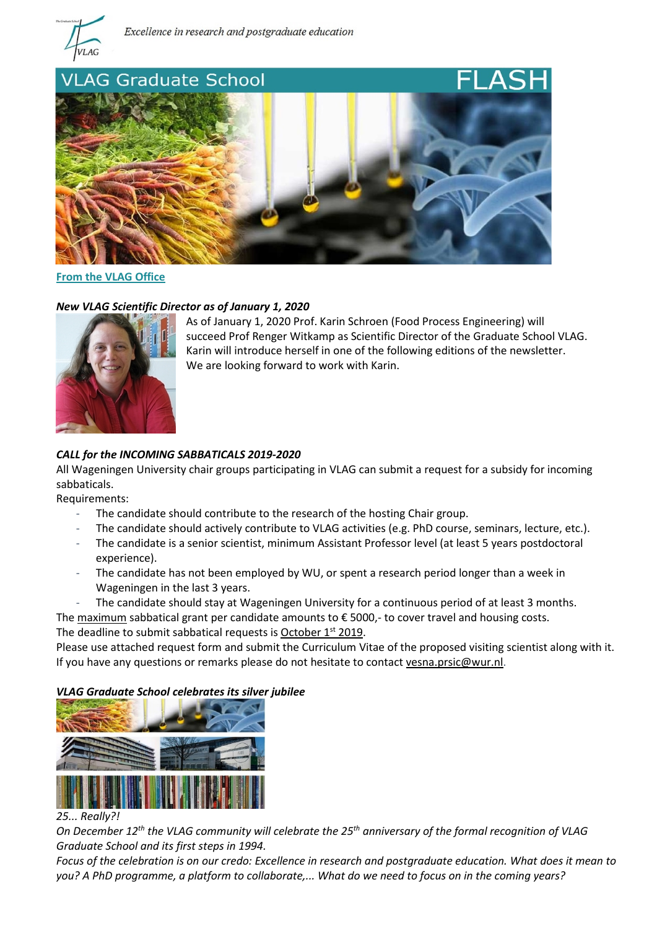



**From the VLAG Office**

### *New VLAG Scientific Director as of January 1, 2020*



As of January 1, 2020 Prof. Karin Schroen (Food Process Engineering) will succeed Prof Renger Witkamp as Scientific Director of the Graduate School VLAG. Karin will introduce herself in one of the following editions of the newsletter. We are looking forward to work with Karin.

# *CALL for the INCOMING SABBATICALS 2019-2020*

All Wageningen University chair groups participating in VLAG can submit a request for a subsidy for incoming sabbaticals.

Requirements:

- The candidate should contribute to the research of the hosting Chair group.
- The candidate should actively contribute to VLAG activities (e.g. PhD course, seminars, lecture, etc.).
- The candidate is a senior scientist, minimum Assistant Professor level (at least 5 years postdoctoral experience).
- The candidate has not been employed by WU, or spent a research period longer than a week in Wageningen in the last 3 years.
- The candidate should stay at Wageningen University for a continuous period of at least 3 months.

The maximum sabbatical grant per candidate amounts to  $\epsilon$  5000,- to cover travel and housing costs. The deadline to submit sabbatical requests is October  $1^{st}$  2019.

Please use attached request form and submit the Curriculum Vitae of the proposed visiting scientist along with it. If you have any questions or remarks please do not hesitate to contact [vesna.prsic@wur.nl.](mailto:vesna.prsic@wur.nl)

# *VLAG Graduate School celebrates its silver jubilee*



#### *25... Really?!*

*On December 12th the VLAG community will celebrate the 25th anniversary of the formal recognition of VLAG Graduate School and its first steps in 1994.* 

*Focus of the celebration is on our credo: Excellence in research and postgraduate education. What does it mean to you? A PhD programme, a platform to collaborate,... What do we need to focus on in the coming years?*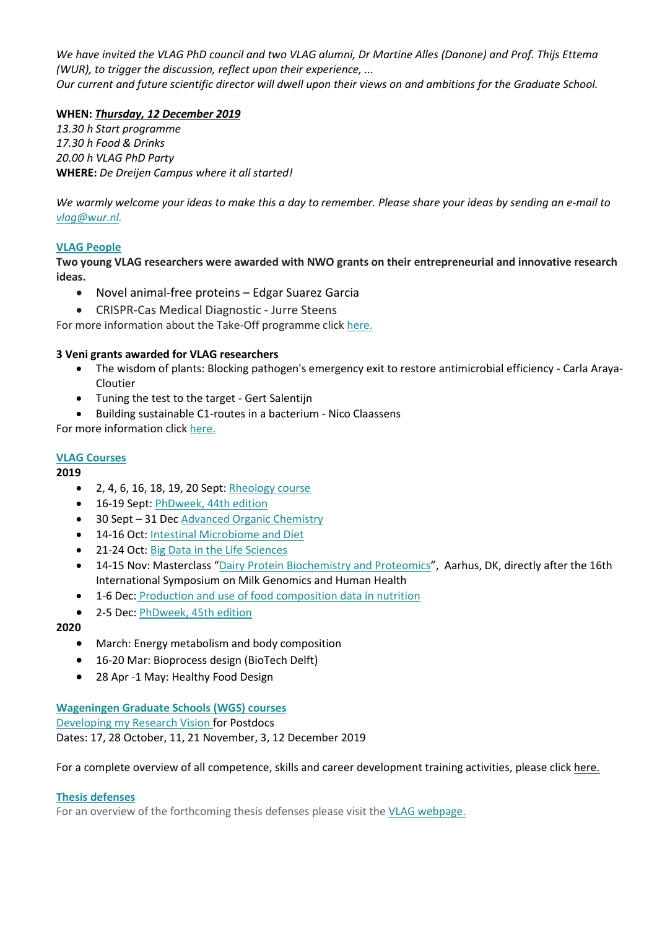*We have invited the VLAG PhD council and two VLAG alumni, Dr Martine Alles (Danone) and Prof. Thijs Ettema (WUR), to trigger the discussion, reflect upon their experience, ... Our current and future scientific director will dwell upon their views on and ambitions for the Graduate School.*

# **WHEN:** *Thursday, 12 December 2019*

*13.30 h Start programme 17.30 h Food & Drinks 20.00 h VLAG PhD Party* **WHERE:** *De Dreijen Campus where it all started!*

*We warmly welcome your ideas to make this a day to remember. Please share your ideas by sending an e-mail to [vlag@wur.nl.](mailto:vlag@wur.nl)*

## **VLAG People**

**Two young VLAG researchers were awarded with NWO grants on their entrepreneurial and innovative research ideas.**

- Novel animal-free proteins Edgar Suarez Garcia
- CRISPR-Cas Medical Diagnostic Jurre Steens

For more information about the Take-Off programme click [here.](https://www.nwo.nl/onderzoek-en-resultaten/programmas/take-off)

## **3 Veni grants awarded for VLAG researchers**

- The wisdom of plants: Blocking pathogen's emergency exit to restore antimicrobial efficiency Carla Araya-Cloutier
- Tuning the test to the target Gert Salentijn
- Building sustainable C1-routes in a bacterium Nico Claassens

For more information click [here.](https://www.wur.nl/en/newsarticle/Nine-young-WUR-researchers-win-Veni-grants.htm)

## **VLAG Courses**

### **2019**

- 2, 4, 6, 16, 18, 19, 20 Sept[: Rheology course](https://www.vlaggraduateschool.nl/en/courses/course/Rheo19.htm)
- 16-19 Sept[: PhDweek, 44th edition](https://www.vlaggraduateschool.nl/en/courses/General-courses/VLAG-general-courses/VLAG-PhD-week.htm)
- 30 Sept 31 Dec [Advanced Organic Chemistry](https://www.vlaggraduateschool.nl/en/courses/course/AOC20.htm)
- 14-16 Oct: Intestinal Microbiome and Diet
- 21-24 Oct: [Big Data in the Life Sciences](https://www.vlaggraduateschool.nl/en/courses/course/BDA19.htm)
- 14-15 Nov: Masterclass ["Dairy Protein Biochemistry and Proteomics"](http://phd.scitech.au.dk/for-phd-students/courses/scientific-courses/kurser-2019/food-science/dairy-protein-biochemistry-and-proteomics-2019/), Aarhus, DK, directly after the 16th International Symposium on Milk Genomics and Human Health
- 1-6 Dec: [Production and use of food composition data in nutrition](https://www.vlaggraduateschool.nl/en/courses/course/foodcomp2019.htm)
- 2-5 Dec: [PhDweek, 45th edition](https://www.vlaggraduateschool.nl/en/courses/General-courses/VLAG-general-courses/VLAG-PhD-week.htm)

### **2020**

- March: Energy metabolism and body composition
- 16-20 Mar: Bioprocess design (BioTech Delft)
- 28 Apr -1 May: Healthy Food Design

## **Wageningen Graduate Schools (WGS) courses** [Developing my Research Vision f](https://www.wur.nl/en/product/Developing-my-Research-Vision.htm)or Postdocs Dates: 17, 28 October, 11, 21 November, 3, 12 December 2019

For a complete overview of all competence, skills and career development training activities, please click [here.](https://wgs.crs.wur.nl/)

### **Thesis defenses**

For an overview of the forthcoming thesis defenses please visit the [VLAG webpage.](https://www.vlaggraduateschool.nl/en.htm)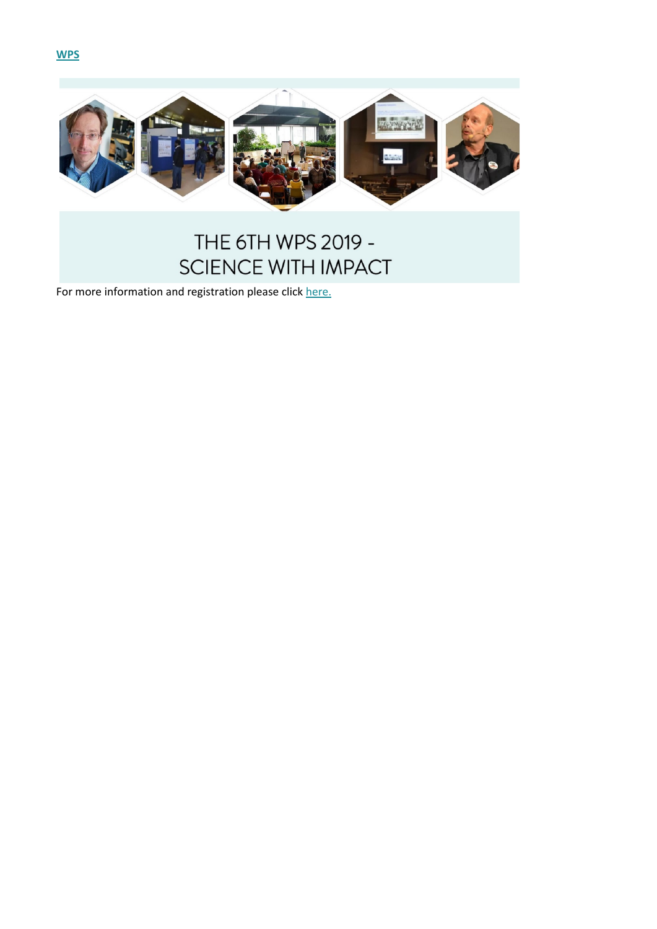



# THE 6TH WPS 2019 -SCIENCE WITH IMPACT

For more information and registration please click [here.](https://wps2019wageningen.wixsite.com/scienceimpact)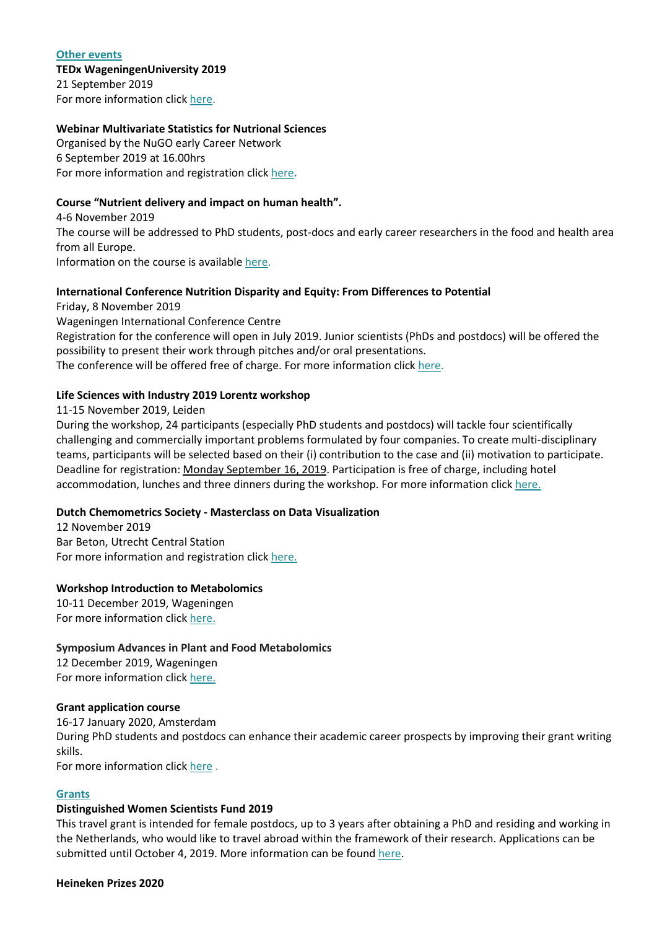#### **Other events**

# **TEDx WageningenUniversity 2019**

21 September 2019 For more information click [here.](https://www.tedxwageningenuniversity.com/)

## **Webinar Multivariate Statistics for Nutrional Sciences**

Organised by the NuGO early Career Network 6 September 2019 at 16.00hrs For more information and registration click [here](http://www.nugo.org/early-career-network-ecn/webinars/webinar-2019-4-september-2019/)**.**

## **Course "Nutrient delivery and impact on human health".**

4-6 November 2019 The course will be addressed to PhD students, post-docs and early career researchers in the food and health area from all Europe. Information on the course is available [here.](http://www.cism.it/courses/E1902/)

## **International Conference Nutrition Disparity and Equity: From Differences to Potential**

Friday, 8 November 2019 Wageningen International Conference Centre Registration for the conference will open in July 2019. Junior scientists (PhDs and postdocs) will be offered the possibility to present their work through pitches and/or oral presentations. The conference will be offered free of charge. For more information click [here.](https://www.wur.nl/en/activity/Nutrition-disparity-and-equity.htm)

## **Life Sciences with Industry 2019 Lorentz workshop**

## 11-15 November 2019, Leiden

During the workshop, 24 participants (especially PhD students and postdocs) will tackle four scientifically challenging and commercially important problems formulated by four companies. To create multi-disciplinary teams, participants will be selected based on their (i) contribution to the case and (ii) motivation to participate. Deadline for registration: Monday September 16, 2019. Participation is free of charge, including hotel accommodation, lunches and three dinners during the workshop. For more information click [here.](https://www.lorentzcenter.nl/lc/web/2019/1199/info.php3?wsid=1199&venue=Snellius)

# **Dutch Chemometrics Society - Masterclass on Data Visualization**

12 November 2019 Bar Beton, Utrecht Central Station For more information and registration click [here.](https://dutchchemometricssociety.nl/events/symposium-2018)

# **Workshop Introduction to Metabolomics**

10-11 December 2019, Wageningen For more information click [here.](https://www.graduateschool-eps.info/events/workshop-advances-in-plant-and-food-metabolomics-2019/)

### **Symposium Advances in Plant and Food Metabolomics**

12 December 2019, Wageningen For more information click [here.](https://www.graduateschool-eps.info/events/symposium-advances-in-plant-and-food-metabolomics/)

### **Grant application course**

16-17 January 2020, Amsterdam During PhD students and postdocs can enhance their academic career prospects by improving their grant writing skills. For more information click [here](https://www.bcfcareer.nl/grant-application-cursus) .

### **Grants**

# **Distinguished Women Scientists Fund 2019**

This travel grant is intended for female postdocs, up to 3 years after obtaining a PhD and residing and working in the Netherlands, who would like to travel abroad within the framework of their research. Applications can be submitted until October 4, 2019. More information can be found [here.](https://www.lnvh.nl/dws-fund)